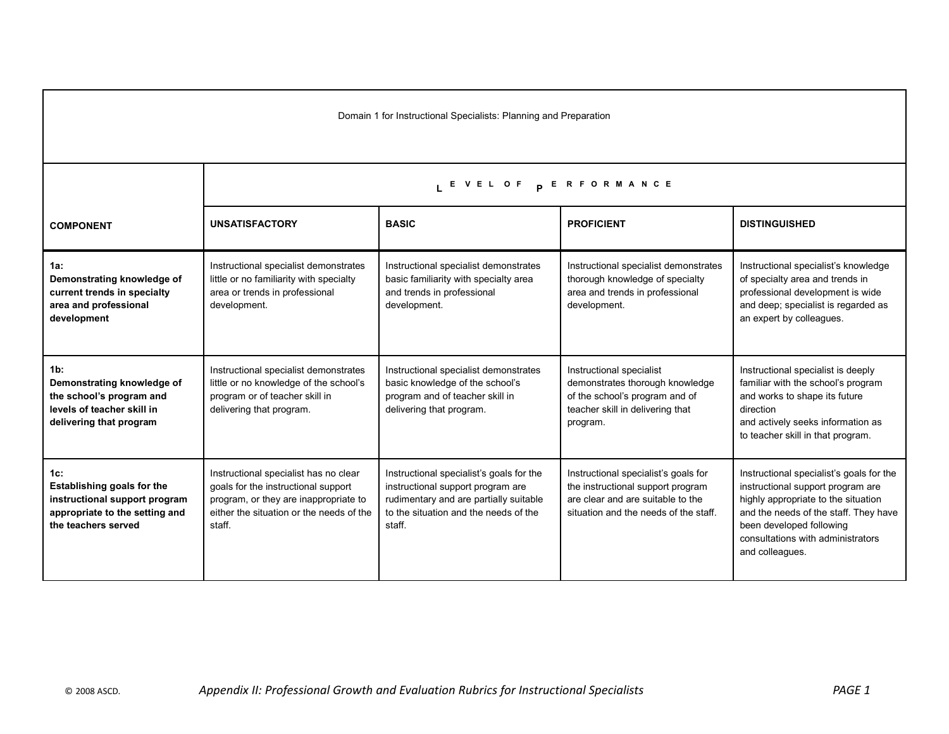| Domain 1 for Instructional Specialists: Planning and Preparation                                                                   |                                                                                                                                                                             |                                                                                                                                                                            |                                                                                                                                                         |                                                                                                                                                                                                                                                   |
|------------------------------------------------------------------------------------------------------------------------------------|-----------------------------------------------------------------------------------------------------------------------------------------------------------------------------|----------------------------------------------------------------------------------------------------------------------------------------------------------------------------|---------------------------------------------------------------------------------------------------------------------------------------------------------|---------------------------------------------------------------------------------------------------------------------------------------------------------------------------------------------------------------------------------------------------|
|                                                                                                                                    | <b>DERFORMANCE</b><br>I E VEL OF                                                                                                                                            |                                                                                                                                                                            |                                                                                                                                                         |                                                                                                                                                                                                                                                   |
| <b>COMPONENT</b>                                                                                                                   | <b>UNSATISFACTORY</b>                                                                                                                                                       | <b>BASIC</b>                                                                                                                                                               | <b>PROFICIENT</b>                                                                                                                                       | <b>DISTINGUISHED</b>                                                                                                                                                                                                                              |
| 1a:<br>Demonstrating knowledge of<br>current trends in specialty<br>area and professional<br>development                           | Instructional specialist demonstrates<br>little or no familiarity with specialty<br>area or trends in professional<br>development.                                          | Instructional specialist demonstrates<br>basic familiarity with specialty area<br>and trends in professional<br>development.                                               | Instructional specialist demonstrates<br>thorough knowledge of specialty<br>area and trends in professional<br>development.                             | Instructional specialist's knowledge<br>of specialty area and trends in<br>professional development is wide<br>and deep; specialist is regarded as<br>an expert by colleagues.                                                                    |
| $1b$ :<br>Demonstrating knowledge of<br>the school's program and<br>levels of teacher skill in<br>delivering that program          | Instructional specialist demonstrates<br>little or no knowledge of the school's<br>program or of teacher skill in<br>delivering that program.                               | Instructional specialist demonstrates<br>basic knowledge of the school's<br>program and of teacher skill in<br>delivering that program.                                    | Instructional specialist<br>demonstrates thorough knowledge<br>of the school's program and of<br>teacher skill in delivering that<br>program.           | Instructional specialist is deeply<br>familiar with the school's program<br>and works to shape its future<br>direction<br>and actively seeks information as<br>to teacher skill in that program.                                                  |
| 1c:<br><b>Establishing goals for the</b><br>instructional support program<br>appropriate to the setting and<br>the teachers served | Instructional specialist has no clear<br>goals for the instructional support<br>program, or they are inappropriate to<br>either the situation or the needs of the<br>staff. | Instructional specialist's goals for the<br>instructional support program are<br>rudimentary and are partially suitable<br>to the situation and the needs of the<br>staff. | Instructional specialist's goals for<br>the instructional support program<br>are clear and are suitable to the<br>situation and the needs of the staff. | Instructional specialist's goals for the<br>instructional support program are<br>highly appropriate to the situation<br>and the needs of the staff. They have<br>been developed following<br>consultations with administrators<br>and colleagues. |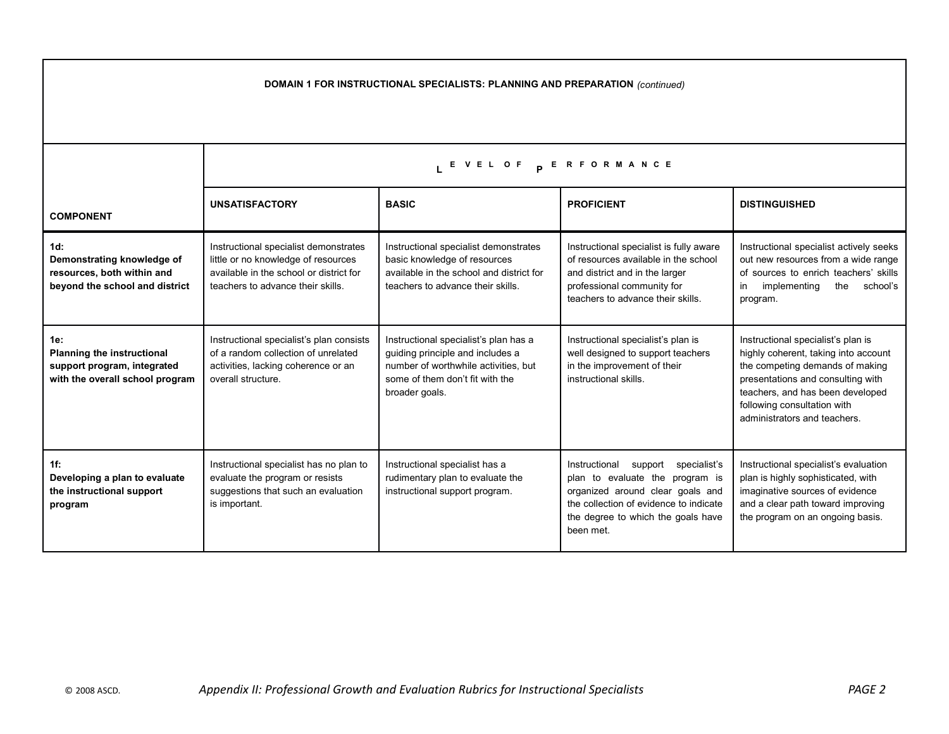## **DOMAIN 1 FOR INSTRUCTIONAL SPECIALISTS: PLANNING AND PREPARATION** *(continued)*

|                                                                                                            | L E VEL OF PE RFORMANCE                                                                                                                                      |                                                                                                                                                                        |                                                                                                                                                                                                           |                                                                                                                                                                                                                                                       |  |
|------------------------------------------------------------------------------------------------------------|--------------------------------------------------------------------------------------------------------------------------------------------------------------|------------------------------------------------------------------------------------------------------------------------------------------------------------------------|-----------------------------------------------------------------------------------------------------------------------------------------------------------------------------------------------------------|-------------------------------------------------------------------------------------------------------------------------------------------------------------------------------------------------------------------------------------------------------|--|
| <b>COMPONENT</b>                                                                                           | <b>UNSATISFACTORY</b>                                                                                                                                        | <b>BASIC</b>                                                                                                                                                           | <b>PROFICIENT</b>                                                                                                                                                                                         | <b>DISTINGUISHED</b>                                                                                                                                                                                                                                  |  |
| $1d$ :<br>Demonstrating knowledge of<br>resources, both within and<br>beyond the school and district       | Instructional specialist demonstrates<br>little or no knowledge of resources<br>available in the school or district for<br>teachers to advance their skills. | Instructional specialist demonstrates<br>basic knowledge of resources<br>available in the school and district for<br>teachers to advance their skills.                 | Instructional specialist is fully aware<br>of resources available in the school<br>and district and in the larger<br>professional community for<br>teachers to advance their skills.                      | Instructional specialist actively seeks<br>out new resources from a wide range<br>of sources to enrich teachers' skills<br>implementing<br>the<br>school's<br>in<br>program.                                                                          |  |
| 1e:<br><b>Planning the instructional</b><br>support program, integrated<br>with the overall school program | Instructional specialist's plan consists<br>of a random collection of unrelated<br>activities, lacking coherence or an<br>overall structure.                 | Instructional specialist's plan has a<br>guiding principle and includes a<br>number of worthwhile activities, but<br>some of them don't fit with the<br>broader goals. | Instructional specialist's plan is<br>well designed to support teachers<br>in the improvement of their<br>instructional skills.                                                                           | Instructional specialist's plan is<br>highly coherent, taking into account<br>the competing demands of making<br>presentations and consulting with<br>teachers, and has been developed<br>following consultation with<br>administrators and teachers. |  |
| 1f:<br>Developing a plan to evaluate<br>the instructional support<br>program                               | Instructional specialist has no plan to<br>evaluate the program or resists<br>suggestions that such an evaluation<br>is important.                           | Instructional specialist has a<br>rudimentary plan to evaluate the<br>instructional support program.                                                                   | Instructional support<br>specialist's<br>plan to evaluate the program is<br>organized around clear goals and<br>the collection of evidence to indicate<br>the degree to which the goals have<br>been met. | Instructional specialist's evaluation<br>plan is highly sophisticated, with<br>imaginative sources of evidence<br>and a clear path toward improving<br>the program on an ongoing basis.                                                               |  |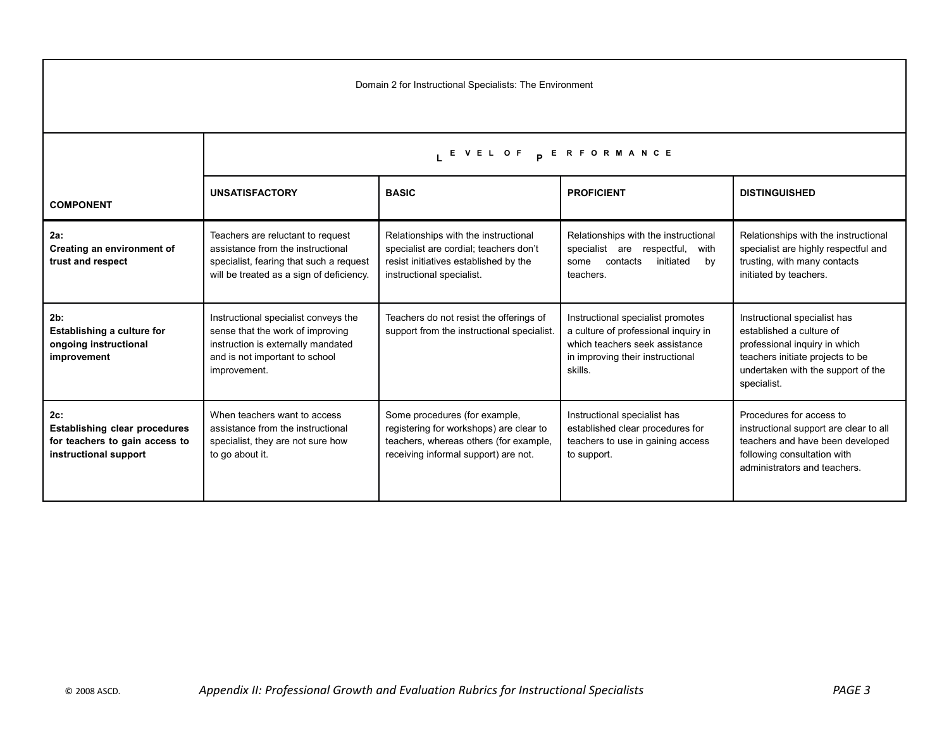Domain 2 for Instructional Specialists: The Environment **COMPONENT L E V E L O F P E R F O R M A N C E UNSATISFACTORY BASIC PROFICIENT DISTINGUISHED 2a: Creating an environment of trust and respect** Teachers are reluctant to request assistance from the instructional specialist, fearing that such a request will be treated as a sign of deficiency. Relationships with the instructional specialist are cordial; teachers don't resist initiatives established by the instructional specialist. Relationships with the instructional specialist are respectful, with some contacts initiated by teachers. Relationships with the instructional specialist are highly respectful and trusting, with many contacts initiated by teachers. **2b: Establishing a culture for ongoing instructional improvement** Instructional specialist conveys the sense that the work of improving instruction is externally mandated and is not important to school improvement. Teachers do not resist the offerings of support from the instructional specialist. Instructional specialist promotes a culture of professional inquiry in which teachers seek assistance in improving their instructional skills. Instructional specialist has established a culture of professional inquiry in which teachers initiate projects to be undertaken with the support of the specialist. **2c: Establishing clear procedures for teachers to gain access to instructional support** When teachers want to access assistance from the instructional specialist, they are not sure how to go about it. Some procedures (for example, registering for workshops) are clear to teachers, whereas others (for example, receiving informal support) are not. Instructional specialist has established clear procedures for teachers to use in gaining access to support. Procedures for access to instructional support are clear to all teachers and have been developed following consultation with administrators and teachers.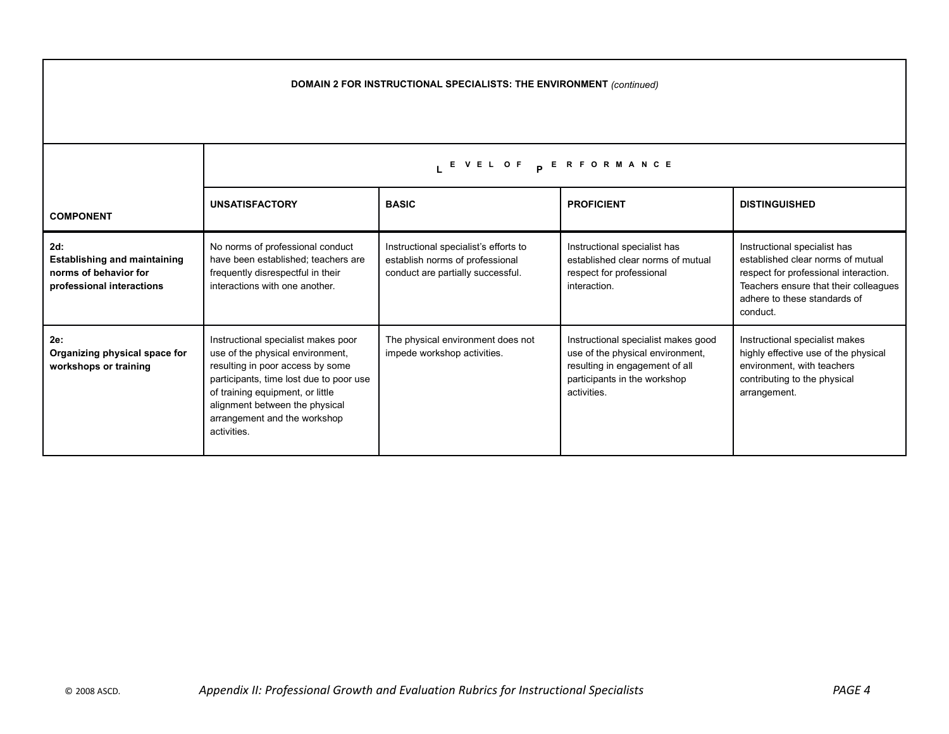## **DOMAIN 2 FOR INSTRUCTIONAL SPECIALISTS: THE ENVIRONMENT** *(continued)*

|                                                                                                  | L E VEL OF PE RFORMANCE                                                                                                                                                                                                                                                     |                                                                                                               |                                                                                                                                                          |                                                                                                                                                                                                 |  |
|--------------------------------------------------------------------------------------------------|-----------------------------------------------------------------------------------------------------------------------------------------------------------------------------------------------------------------------------------------------------------------------------|---------------------------------------------------------------------------------------------------------------|----------------------------------------------------------------------------------------------------------------------------------------------------------|-------------------------------------------------------------------------------------------------------------------------------------------------------------------------------------------------|--|
| <b>COMPONENT</b>                                                                                 | <b>UNSATISFACTORY</b>                                                                                                                                                                                                                                                       | <b>BASIC</b>                                                                                                  | <b>PROFICIENT</b>                                                                                                                                        | <b>DISTINGUISHED</b>                                                                                                                                                                            |  |
| 2d:<br><b>Establishing and maintaining</b><br>norms of behavior for<br>professional interactions | No norms of professional conduct<br>have been established; teachers are<br>frequently disrespectful in their<br>interactions with one another.                                                                                                                              | Instructional specialist's efforts to<br>establish norms of professional<br>conduct are partially successful. | Instructional specialist has<br>established clear norms of mutual<br>respect for professional<br>interaction.                                            | Instructional specialist has<br>established clear norms of mutual<br>respect for professional interaction.<br>Teachers ensure that their colleagues<br>adhere to these standards of<br>conduct. |  |
| 2e:<br>Organizing physical space for<br>workshops or training                                    | Instructional specialist makes poor<br>use of the physical environment,<br>resulting in poor access by some<br>participants, time lost due to poor use<br>of training equipment, or little<br>alignment between the physical<br>arrangement and the workshop<br>activities. | The physical environment does not<br>impede workshop activities.                                              | Instructional specialist makes good<br>use of the physical environment,<br>resulting in engagement of all<br>participants in the workshop<br>activities. | Instructional specialist makes<br>highly effective use of the physical<br>environment, with teachers<br>contributing to the physical<br>arrangement.                                            |  |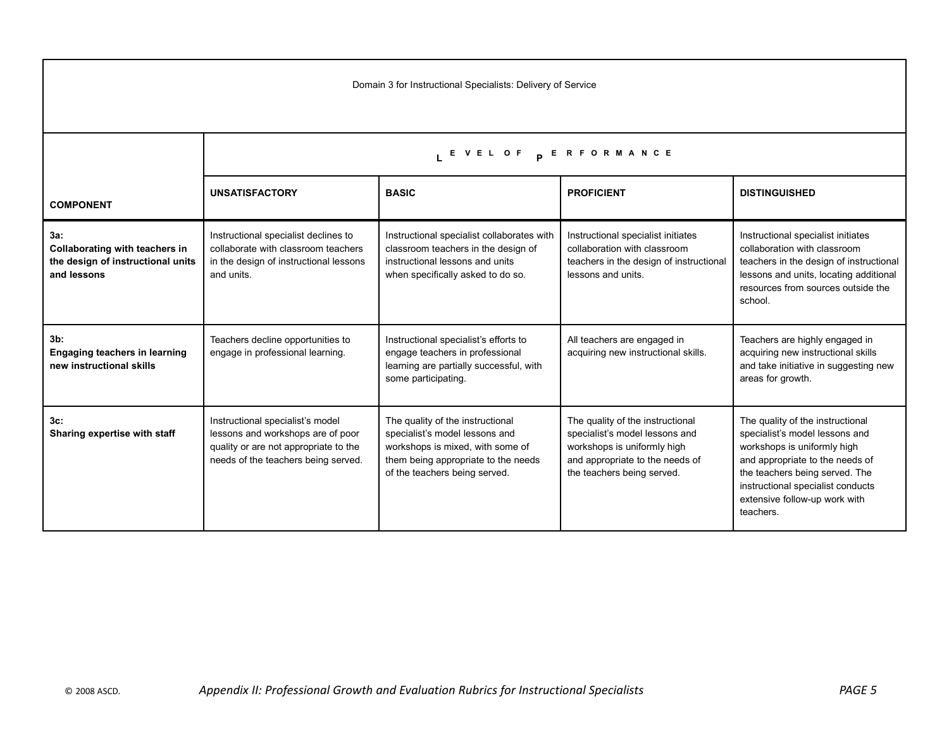Domain 3 for Instructional Specialists: Delivery of Service **COMPONENT L E V E L O F P E R F O R M A N C E UNSATISFACTORY BASIC PROFICIENT DISTINGUISHED 3a: Collaborating with teachers in the design of instructional units and lessons** Instructional specialist declines to collaborate with classroom teachers in the design of instructional lessons and units. Instructional specialist collaborates with classroom teachers in the design of instructional lessons and units when specifically asked to do so. Instructional specialist initiates collaboration with classroom teachers in the design of instructional lessons and units. Instructional specialist initiates collaboration with classroom teachers in the design of instructional lessons and units, locating additional resources from sources outside the school. **3b: Engaging teachers in learning new instructional skills** Teachers decline opportunities to engage in professional learning. Instructional specialist's efforts to engage teachers in professional learning are partially successful, with some participating. All teachers are engaged in acquiring new instructional skills. Teachers are highly engaged in acquiring new instructional skills and take initiative in suggesting new areas for growth. **3c: Sharing expertise with staff** Instructional specialist's model lessons and workshops are of poor quality or are not appropriate to the needs of the teachers being served. The quality of the instructional specialist's model lessons and workshops is mixed, with some of them being appropriate to the needs of the teachers being served. The quality of the instructional specialist's model lessons and workshops is uniformly high and appropriate to the needs of the teachers being served. The quality of the instructional specialist's model lessons and workshops is uniformly high and appropriate to the needs of the teachers being served. The instructional specialist conducts extensive follow-up work with teachers.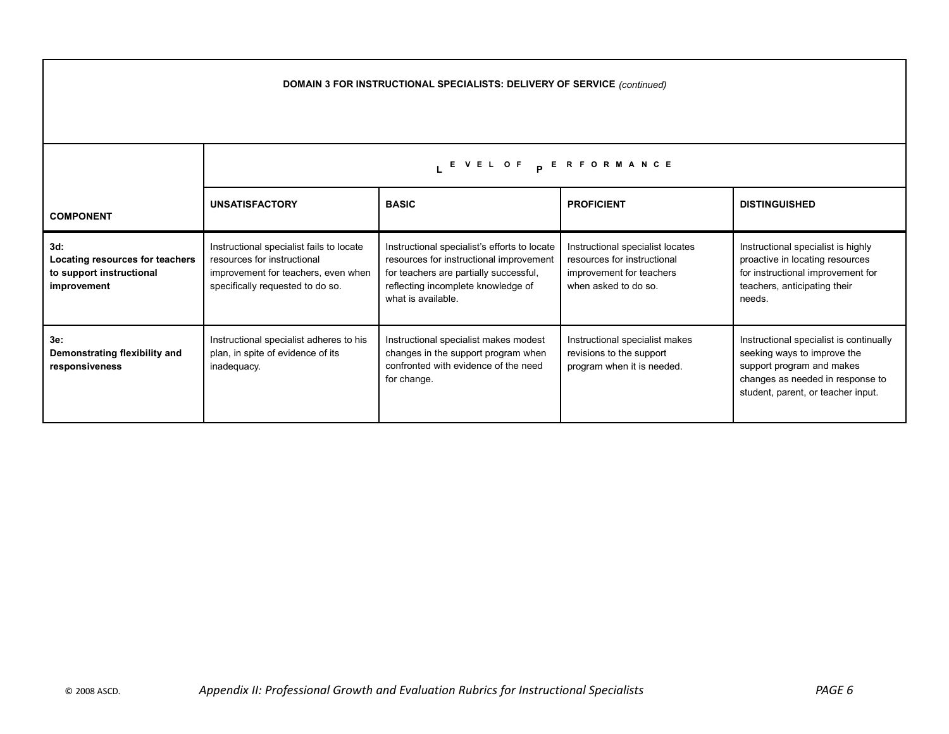## **DOMAIN 3 FOR INSTRUCTIONAL SPECIALISTS: DELIVERY OF SERVICE** *(continued)*

|                                                                                   | E VEL OF PE RFORMANCE                                                                                                                              |                                                                                                                                                                                               |                                                                                                                     |                                                                                                                                                                               |  |
|-----------------------------------------------------------------------------------|----------------------------------------------------------------------------------------------------------------------------------------------------|-----------------------------------------------------------------------------------------------------------------------------------------------------------------------------------------------|---------------------------------------------------------------------------------------------------------------------|-------------------------------------------------------------------------------------------------------------------------------------------------------------------------------|--|
| <b>COMPONENT</b>                                                                  | <b>UNSATISFACTORY</b>                                                                                                                              | <b>BASIC</b>                                                                                                                                                                                  | <b>PROFICIENT</b>                                                                                                   | <b>DISTINGUISHED</b>                                                                                                                                                          |  |
| 3d:<br>Locating resources for teachers<br>to support instructional<br>improvement | Instructional specialist fails to locate<br>resources for instructional<br>improvement for teachers, even when<br>specifically requested to do so. | Instructional specialist's efforts to locate<br>resources for instructional improvement<br>for teachers are partially successful,<br>reflecting incomplete knowledge of<br>what is available. | Instructional specialist locates<br>resources for instructional<br>improvement for teachers<br>when asked to do so. | Instructional specialist is highly<br>proactive in locating resources<br>for instructional improvement for<br>teachers, anticipating their<br>needs.                          |  |
| 3e:<br>Demonstrating flexibility and<br>responsiveness                            | Instructional specialist adheres to his<br>plan, in spite of evidence of its<br>inadequacy.                                                        | Instructional specialist makes modest<br>changes in the support program when<br>confronted with evidence of the need<br>for change.                                                           | Instructional specialist makes<br>revisions to the support<br>program when it is needed.                            | Instructional specialist is continually<br>seeking ways to improve the<br>support program and makes<br>changes as needed in response to<br>student, parent, or teacher input. |  |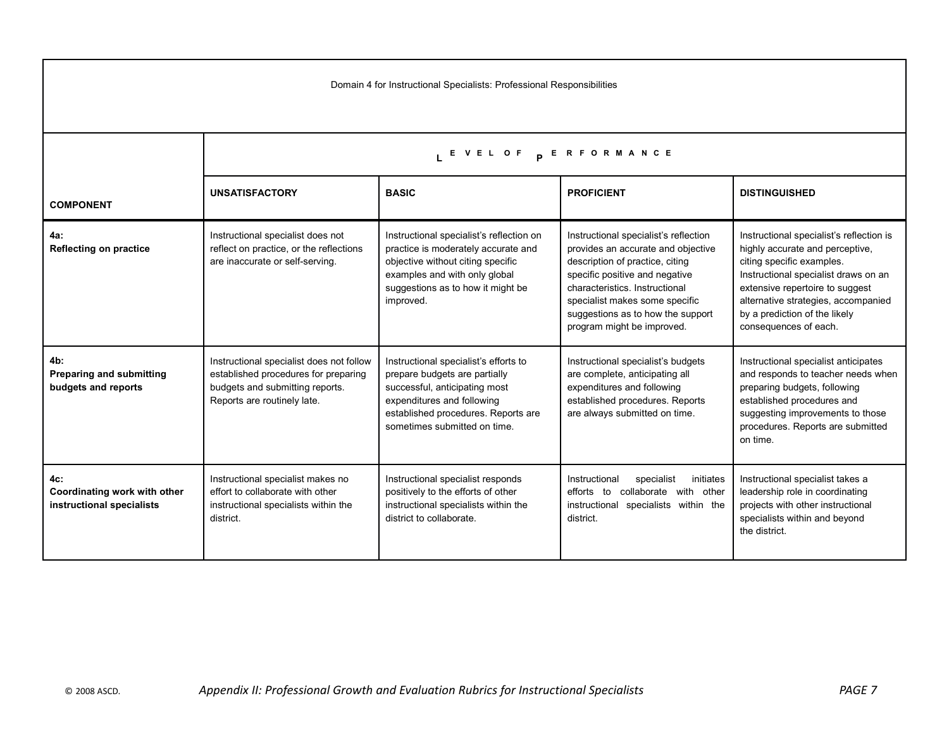Domain 4 for Instructional Specialists: Professional Responsibilities

|                                                                  | <b>PERFORMANCE</b><br>L E V E L O F                                                                                                                |                                                                                                                                                                                                              |                                                                                                                                                                                                                                                                                         |                                                                                                                                                                                                                                                                                      |
|------------------------------------------------------------------|----------------------------------------------------------------------------------------------------------------------------------------------------|--------------------------------------------------------------------------------------------------------------------------------------------------------------------------------------------------------------|-----------------------------------------------------------------------------------------------------------------------------------------------------------------------------------------------------------------------------------------------------------------------------------------|--------------------------------------------------------------------------------------------------------------------------------------------------------------------------------------------------------------------------------------------------------------------------------------|
| <b>COMPONENT</b>                                                 | <b>UNSATISFACTORY</b>                                                                                                                              | <b>BASIC</b>                                                                                                                                                                                                 | <b>PROFICIENT</b>                                                                                                                                                                                                                                                                       | <b>DISTINGUISHED</b>                                                                                                                                                                                                                                                                 |
| 4a:<br><b>Reflecting on practice</b>                             | Instructional specialist does not<br>reflect on practice, or the reflections<br>are inaccurate or self-serving.                                    | Instructional specialist's reflection on<br>practice is moderately accurate and<br>objective without citing specific<br>examples and with only global<br>suggestions as to how it might be<br>improved.      | Instructional specialist's reflection<br>provides an accurate and objective<br>description of practice, citing<br>specific positive and negative<br>characteristics. Instructional<br>specialist makes some specific<br>suggestions as to how the support<br>program might be improved. | Instructional specialist's reflection is<br>highly accurate and perceptive,<br>citing specific examples.<br>Instructional specialist draws on an<br>extensive repertoire to suggest<br>alternative strategies, accompanied<br>by a prediction of the likely<br>consequences of each. |
| 4b:<br><b>Preparing and submitting</b><br>budgets and reports    | Instructional specialist does not follow<br>established procedures for preparing<br>budgets and submitting reports.<br>Reports are routinely late. | Instructional specialist's efforts to<br>prepare budgets are partially<br>successful, anticipating most<br>expenditures and following<br>established procedures. Reports are<br>sometimes submitted on time. | Instructional specialist's budgets<br>are complete, anticipating all<br>expenditures and following<br>established procedures. Reports<br>are always submitted on time.                                                                                                                  | Instructional specialist anticipates<br>and responds to teacher needs when<br>preparing budgets, following<br>established procedures and<br>suggesting improvements to those<br>procedures. Reports are submitted<br>on time.                                                        |
| 4c:<br>Coordinating work with other<br>instructional specialists | Instructional specialist makes no<br>effort to collaborate with other<br>instructional specialists within the<br>district.                         | Instructional specialist responds<br>positively to the efforts of other<br>instructional specialists within the<br>district to collaborate.                                                                  | initiates<br>Instructional<br>specialist<br>collaborate with other<br>efforts to<br>instructional<br>specialists within the<br>district.                                                                                                                                                | Instructional specialist takes a<br>leadership role in coordinating<br>projects with other instructional<br>specialists within and beyond<br>the district.                                                                                                                           |